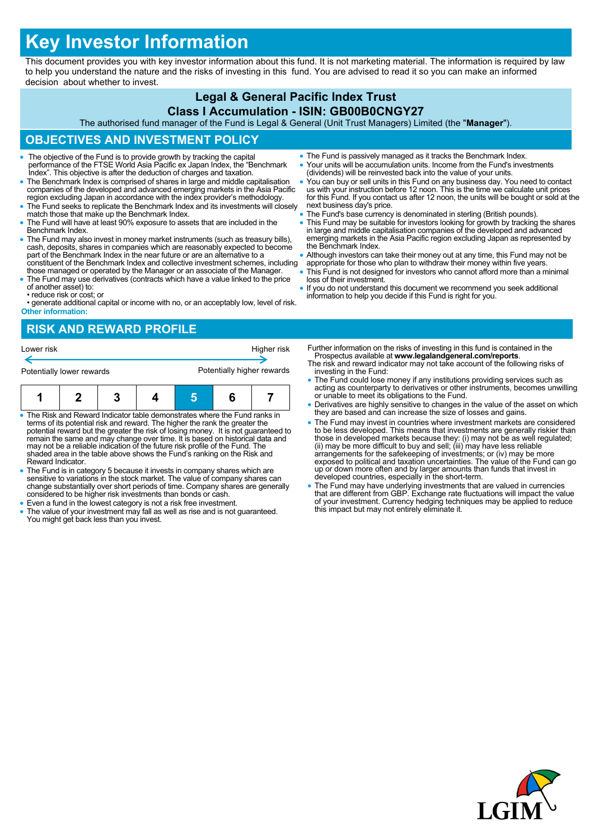# **Key Investor Information**

This document provides you with key investor information about this fund. It is not marketing material. The information is required by law to help you understand the nature and the risks of investing in this fund. You are advised to read it so you can make an informed decision about whether to invest.

## **Legal & General Pacific Index Trust**

#### **Class I Accumulation - ISIN: GB00B0CNGY27**

The authorised fund manager of the Fund is Legal & General (Unit Trust Managers) Limited (the "**Manager**").

#### **OBJECTIVES AND INVESTMENT POLICY**

- The objective of the Fund is to provide growth by tracking the capital performance of the FTSE World Asia Pacific ex Japan Index, the "Benchmark Index". This objective is after the deduction of charges and taxation.
- The Benchmark Index is comprised of shares in large and middle capitalisation companies of the developed and advanced emerging markets in the Asia Pacific region excluding Japan in accordance with the index provider's methodology.
- The Fund seeks to replicate the Benchmark Index and its investments will closely match those that make up the Benchmark Index.
- The Fund will have at least 90% exposure to assets that are included in the Benchmark Index.
- The Fund may also invest in money market instruments (such as treasury bills), cash, deposits, shares in companies which are reasonably expected to become part of the Benchmark Index in the near future or are an alternat constituent of the Benchmark Index and collective investment schemes, including
- those managed or operated by the Manager or an associate of the Manager. The Fund may use derivatives (contracts which have a value linked to the price of another asset) to:
- reduce risk or cost; or

• generate additional capital or income with no, or an acceptably low, level of risk. **Other information:**

- The Fund is passively managed as it tracks the Benchmark Index. Your units will be accumulation units. Income from the Fund's investments
- (dividends) will be reinvested back into the value of your units.
- You can buy or sell units in this Fund on any business day. You need to contact us with your instruction before 12 noon. This is the time we calculate unit prices for this Fund. If you contact us after 12 noon, the units will be bought or sold at the next business day's price.
- The Fund's base currency is denominated in sterling (British pounds).
- This Fund may be suitable for investors looking for growth by tracking the shares<br>in large and middle capitalisation companies of the developed and advanced<br>emerging markets in the Asia Pacific region excluding Japan as the Benchmark Index.
- Although investors can take their money out at any time, this Fund may not be
- appropriate for those who plan to withdraw their money within five years. This Fund is not designed for investors who cannot afford more than a minimal loss of their investment.
- If you do not understand this document we recommend you seek additional information to help you decide if this Fund is right for you.

#### **RISK AND REWARD PROFILE**



- The Risk and Reward Indicator table demonstrates where the Fund ranks in terms of its potential risk and reward. The higher the rank the greater the potential reward but the greater the risk of losing money. It is not guaranteed to remain the same and may change over time. It is based on historical data and may not be a reliable indication of the future risk profile of the Fund. The shaded area in the table above shows the Fund's ranking on the Risk and Reward Indicator.
- The Fund is in category 5 because it invests in company shares which are sensitive to variations in the stock market. The value of company shares can change substantially over short periods of time. Company shares are generally considered to be higher risk investments than bonds or cash.
- Even a fund in the lowest category is not a risk free investment.
- The value of your investment may fall as well as rise and is not guaranteed. You might get back less than you invest.
- Further information on the risks of investing in this fund is contained in the Prospectus available at **www.legalandgeneral.com/reports**.
- The risk and reward indicator may not take account of the following risks of investing in the Fund:
- The Fund could lose money if any institutions providing services such as acting as counterparty to derivatives or other instruments, becomes unwilling or unable to meet its obligations to the Fund.
- Derivatives are highly sensitive to changes in the value of the asset on which they are based and can increase the size of losses and gains.
- The Fund may invest in countries where investment markets are considered to be less developed. This means that investments are generally riskier than<br>those in developed markets because they: (i) may not be as well regulated;<br>(ii) may be more difficult to buy and sell; (iii) may have less reliab exposed to political and taxation uncertainties. The value of the Fund can go up or down more often and by larger amounts than funds that invest in developed countries, especially in the short-term.
- The Fund may have underlying investments that are valued in currencies that are different from GBP. Exchange rate fluctuations will impact the value of your investment. Currency hedging techniques may be applied to reduce this impact but may not entirely eliminate it.